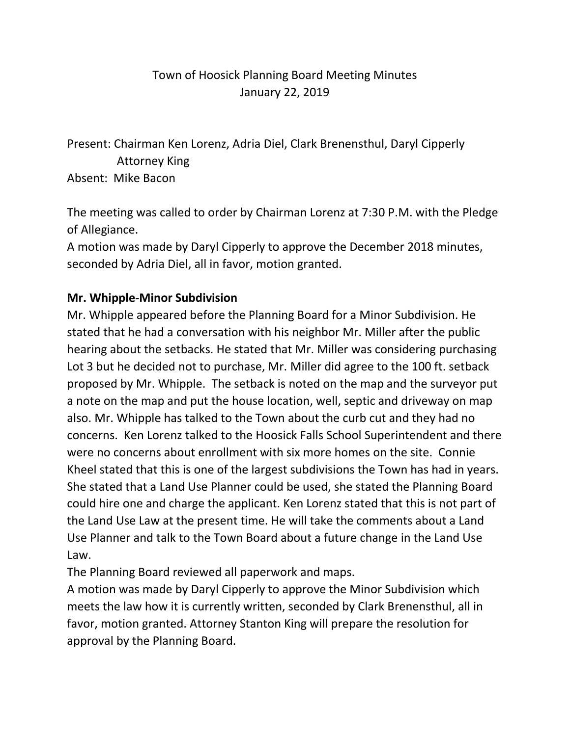## Town of Hoosick Planning Board Meeting Minutes January 22, 2019

Present: Chairman Ken Lorenz, Adria Diel, Clark Brenensthul, Daryl Cipperly Attorney King Absent: Mike Bacon

The meeting was called to order by Chairman Lorenz at 7:30 P.M. with the Pledge of Allegiance.

A motion was made by Daryl Cipperly to approve the December 2018 minutes, seconded by Adria Diel, all in favor, motion granted.

## **Mr. Whipple-Minor Subdivision**

Mr. Whipple appeared before the Planning Board for a Minor Subdivision. He stated that he had a conversation with his neighbor Mr. Miller after the public hearing about the setbacks. He stated that Mr. Miller was considering purchasing Lot 3 but he decided not to purchase, Mr. Miller did agree to the 100 ft. setback proposed by Mr. Whipple. The setback is noted on the map and the surveyor put a note on the map and put the house location, well, septic and driveway on map also. Mr. Whipple has talked to the Town about the curb cut and they had no concerns. Ken Lorenz talked to the Hoosick Falls School Superintendent and there were no concerns about enrollment with six more homes on the site. Connie Kheel stated that this is one of the largest subdivisions the Town has had in years. She stated that a Land Use Planner could be used, she stated the Planning Board could hire one and charge the applicant. Ken Lorenz stated that this is not part of the Land Use Law at the present time. He will take the comments about a Land Use Planner and talk to the Town Board about a future change in the Land Use Law.

The Planning Board reviewed all paperwork and maps.

A motion was made by Daryl Cipperly to approve the Minor Subdivision which meets the law how it is currently written, seconded by Clark Brenensthul, all in favor, motion granted. Attorney Stanton King will prepare the resolution for approval by the Planning Board.